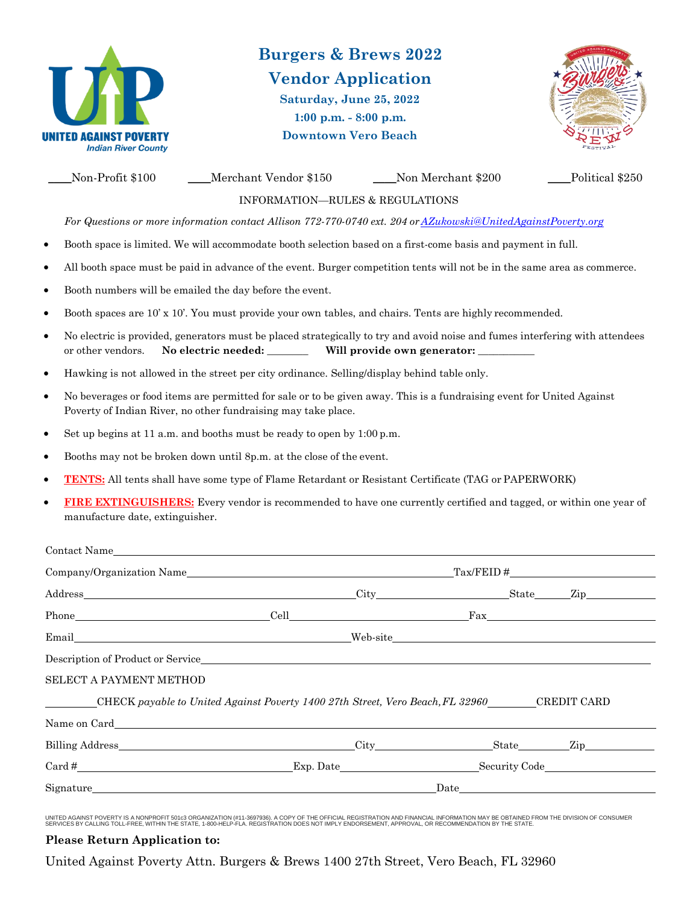

## **Burgers & Brews 2022 Vendor Application Saturday, June 25, 2022 1:00 p.m. - 8:00 p.m. Downtown Vero Beach**



Non-Profit \$100 Merchant Vendor \$150 Non Merchant \$200 Political \$250

INFORMATION—RULES & REGULATIONS

*For Questions or more information contact Allison 772-770-0740 ext. 204 o[rAZukowski@UnitedAgainstPoverty.org](mailto:AZukowski@UnitedAgainstPoverty.org)*

- Booth space is limited. We will accommodate booth selection based on a first-come basis and payment in full.
- All booth space must be paid in advance of the event. Burger competition tents will not be in the same area as commerce.
- Booth numbers will be emailed the day before the event.
- Booth spaces are 10' x 10'. You must provide your own tables, and chairs. Tents are highly recommended.
- No electric is provided, generators must be placed strategically to try and avoid noise and fumes interfering with attendees or other vendors. **No electric needed: \_\_\_\_\_\_\_\_ Will provide own generator: \_\_\_\_\_\_\_\_\_\_\_**
- Hawking is not allowed in the street per city ordinance. Selling/display behind table only.
- No beverages or food items are permitted for sale or to be given away. This is a fundraising event for United Against Poverty of Indian River, no other fundraising may take place.
- Set up begins at 11 a.m. and booths must be ready to open by 1:00 p.m.
- Booths may not be broken down until 8p.m. at the close of the event.
- **TENTS:** All tents shall have some type of Flame Retardant or Resistant Certificate (TAG or PAPERWORK)
- **FIRE EXTINGUISHERS:** Every vendor is recommended to have one currently certified and tagged, or within one year of manufacture date, extinguisher.

|                                                                                                    | Company/Organization Name Tax/FEID # Tax/FEID # Tax/FEID # Tax/FEID # Tax/FEID # Tax/FEID # Tax/FEID # Tax/FEID # Tax/FEID # Tax/FEID # Tax/FEID # Tax/FEID # Tax/FEID # Tax/FEID # Tax/FEID # Tax/FEID # Tax/FEID # Tax/FEID |  |
|----------------------------------------------------------------------------------------------------|-------------------------------------------------------------------------------------------------------------------------------------------------------------------------------------------------------------------------------|--|
|                                                                                                    |                                                                                                                                                                                                                               |  |
|                                                                                                    |                                                                                                                                                                                                                               |  |
|                                                                                                    |                                                                                                                                                                                                                               |  |
|                                                                                                    |                                                                                                                                                                                                                               |  |
| <b>SELECT A PAYMENT METHOD</b>                                                                     |                                                                                                                                                                                                                               |  |
| CHECK payable to United Against Poverty 1400 27th Street, Vero Beach, FL 32960_________CREDIT CARD |                                                                                                                                                                                                                               |  |
|                                                                                                    |                                                                                                                                                                                                                               |  |
|                                                                                                    |                                                                                                                                                                                                                               |  |
|                                                                                                    |                                                                                                                                                                                                                               |  |
|                                                                                                    |                                                                                                                                                                                                                               |  |

## UNITED AGAINST POVERTY IS A NONPROFIT 501:3 ORGANIZATION (#11-3697936). A COPY OF THE OFFICIAL REGISTRATION AND FINANCIAL INFORMATION MAY BE OBTAINED FROM THE DIVISION OF CONSUMER<br>SERVICES BY CALLING TOLL-FREE, WITHIN THE

## **Please Return Application to:**

United Against Poverty Attn. Burgers & Brews 1400 27th Street, Vero Beach, FL 32960